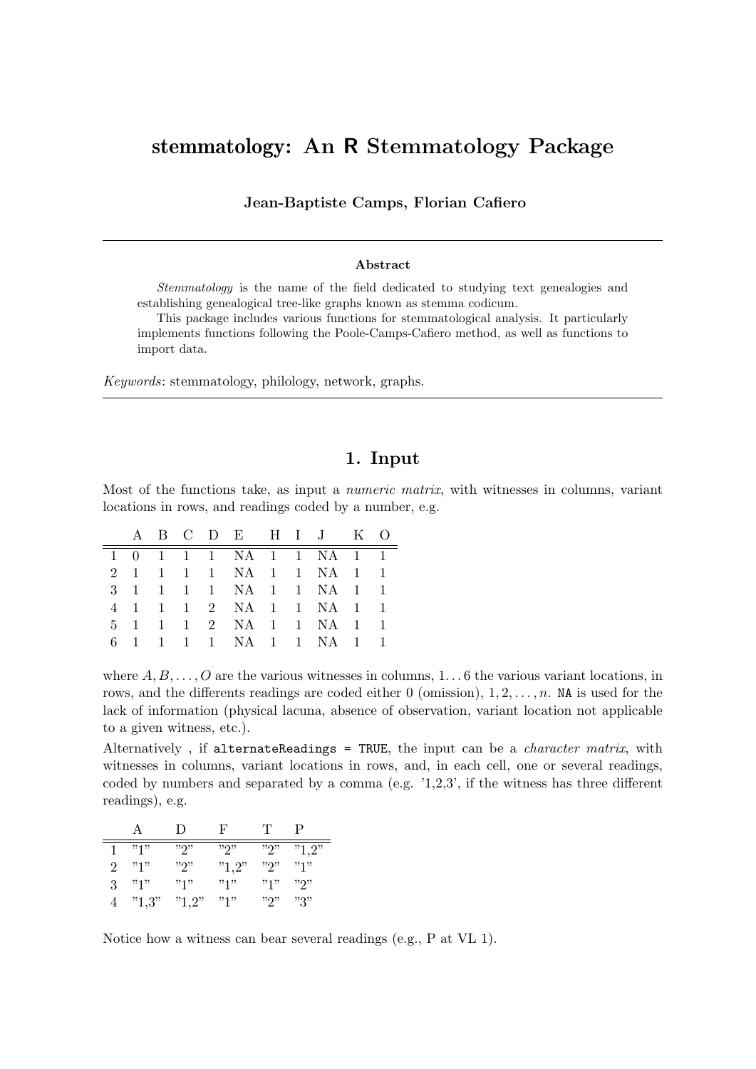# stemmatology: An R Stemmatology Package

Jean-Baptiste Camps, Florian Cafiero

#### Abstract

Stemmatology is the name of the field dedicated to studying text genealogies and establishing genealogical tree-like graphs known as stemma codicum.

This package includes various functions for stemmatological analysis. It particularly implements functions following the Poole-Camps-Cafiero method, as well as functions to import data.

Keywords: stemmatology, philology, network, graphs.

#### 1. Input

Most of the functions take, as input a numeric matrix, with witnesses in columns, variant locations in rows, and readings coded by a number, e.g.

|  |  | A B C D E H I J K O     |  |  |  |
|--|--|-------------------------|--|--|--|
|  |  | 1 0 1 1 1 NA 1 1 NA 1 1 |  |  |  |
|  |  | 2 1 1 1 1 NA 1 1 NA 1 1 |  |  |  |
|  |  | 3 1 1 1 1 NA 1 1 NA 1 1 |  |  |  |
|  |  | 4 1 1 1 2 NA 1 1 NA 1 1 |  |  |  |
|  |  | 5 1 1 1 2 NA 1 1 NA 1 1 |  |  |  |
|  |  | 6 1 1 1 1 NA 1 1 NA 1 1 |  |  |  |

where  $A, B, \ldots, O$  are the various witnesses in columns,  $1 \ldots 6$  the various variant locations, in rows, and the differents readings are coded either 0 (omission),  $1, 2, \ldots, n$ . NA is used for the lack of information (physical lacuna, absence of observation, variant location not applicable to a given witness, etc.).

Alternatively, if alternateReadings = TRUE, the input can be a *character matrix*, with witnesses in columns, variant locations in rows, and, in each cell, one or several readings, coded by numbers and separated by a comma (e.g. '1,2,3', if the witness has three different readings), e.g.

|                             | А     | $\Box$ | F     | T     | P     |
|-----------------------------|-------|--------|-------|-------|-------|
|                             | "1"   | ייפיי  | ייפיי | "2"   | "1,2" |
| $\mathcal{D}_{\mathcal{L}}$ | "1"   | ייפיי  | "1,2" | ייריי | "1"   |
| 3                           | "1"   | "1"    | "1"   | "1"   | ייפיי |
|                             | "1,3" | "1,2"  | "1"   | ייפיי | "3"   |

Notice how a witness can bear several readings (e.g., P at VL 1).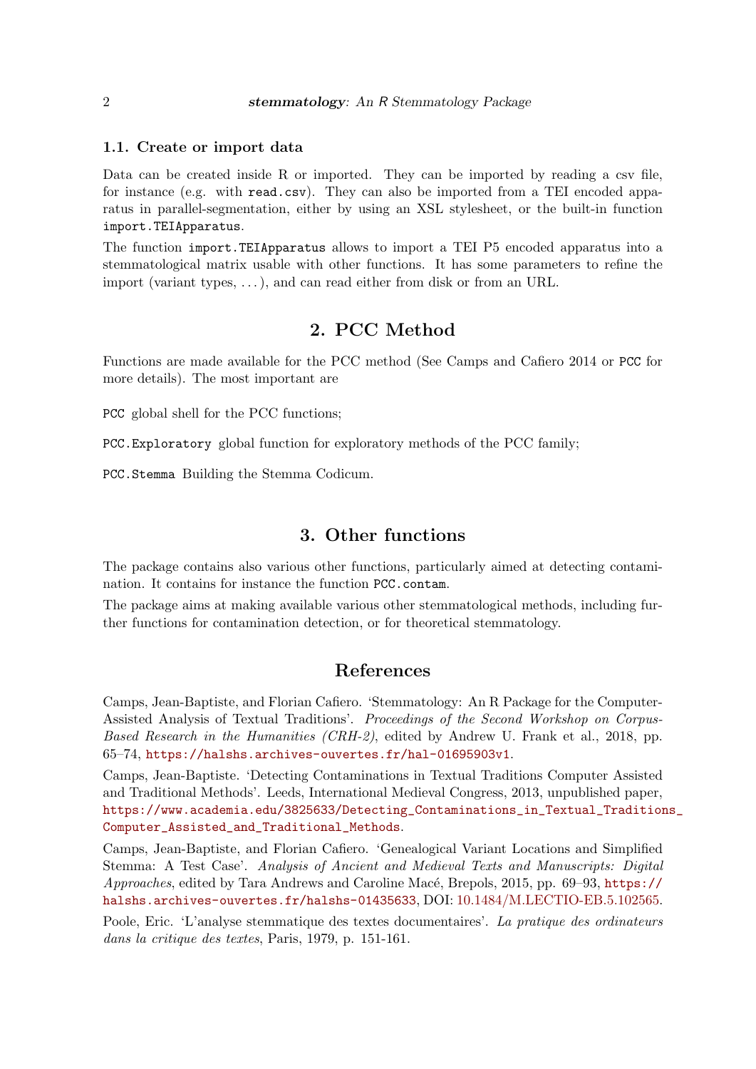#### 1.1. Create or import data

Data can be created inside R or imported. They can be imported by reading a csy file, for instance (e.g. with read.csv). They can also be imported from a TEI encoded apparatus in parallel-segmentation, either by using an XSL stylesheet, or the built-in function import.TEIApparatus.

The function import.TEIApparatus allows to import a TEI P5 encoded apparatus into a stemmatological matrix usable with other functions. It has some parameters to refine the import (variant types, . . . ), and can read either from disk or from an URL.

### 2. PCC Method

Functions are made available for the PCC method (See Camps and Cafiero 2014 or PCC for more details). The most important are

PCC global shell for the PCC functions;

PCC.Exploratory global function for exploratory methods of the PCC family;

PCC.Stemma Building the Stemma Codicum.

#### 3. Other functions

The package contains also various other functions, particularly aimed at detecting contamination. It contains for instance the function PCC.contam.

The package aims at making available various other stemmatological methods, including further functions for contamination detection, or for theoretical stemmatology.

# References

Camps, Jean-Baptiste, and Florian Cafiero. 'Stemmatology: An R Package for the Computer-Assisted Analysis of Textual Traditions'. Proceedings of the Second Workshop on Corpus-Based Research in the Humanities (CRH-2), edited by Andrew U. Frank et al., 2018, pp. 65–74, <https://halshs.archives-ouvertes.fr/hal-01695903v1>.

Camps, Jean-Baptiste. 'Detecting Contaminations in Textual Traditions Computer Assisted and Traditional Methods'. Leeds, International Medieval Congress, 2013, unpublished paper, [https://www.academia.edu/3825633/Detecting\\_Contaminations\\_in\\_Textual\\_Tradition](https://www.academia.edu/3825633/Detecting_Contaminations_in_Textual_Traditions_Computer_Assisted_and_Traditional_Methods)s\_ [Computer\\_Assisted\\_and\\_Traditional\\_Methods](https://www.academia.edu/3825633/Detecting_Contaminations_in_Textual_Traditions_Computer_Assisted_and_Traditional_Methods).

Camps, Jean-Baptiste, and Florian Cafiero. 'Genealogical Variant Locations and Simplified Stemma: A Test Case'. Analysis of Ancient and Medieval Texts and Manuscripts: Digital Approaches, edited by Tara Andrews and Caroline Macé, Brepols, 2015, pp. 69–93, [https://](https://halshs.archives-ouvertes.fr/halshs-01435633) [halshs.archives-ouvertes.fr/halshs-01435633](https://halshs.archives-ouvertes.fr/halshs-01435633), DOI: [10.1484/M.LECTIO-EB.5.102565.](http://dx.doi.org/10.1484/M.LECTIO-EB.5.102565)

Poole, Eric. 'L'analyse stemmatique des textes documentaires'. La pratique des ordinateurs dans la critique des textes, Paris, 1979, p. 151-161.